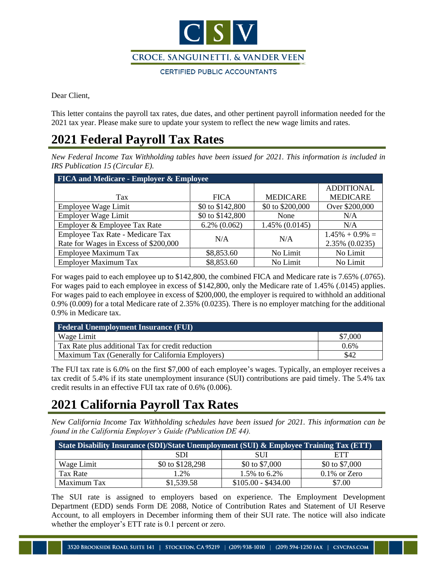

Dear Client,

This letter contains the payroll tax rates, due dates, and other pertinent payroll information needed for the 2021 tax year. Please make sure to update your system to reflect the new wage limits and rates.

#### **2021 Federal Payroll Tax Rates**

*New Federal Income Tax Withholding tables have been issued for 2021. This information is included in IRS Publication 15 (Circular E).* 

| <b>FICA and Medicare - Employer &amp; Employee</b> |                   |                  |                    |  |
|----------------------------------------------------|-------------------|------------------|--------------------|--|
|                                                    |                   |                  | <b>ADDITIONAL</b>  |  |
| Tax                                                | <b>FICA</b>       | <b>MEDICARE</b>  | <b>MEDICARE</b>    |  |
| Employee Wage Limit                                | \$0 to \$142,800  | \$0 to \$200,000 | Over \$200,000     |  |
| Employer Wage Limit                                | \$0 to \$142,800  | None             | N/A                |  |
| Employer & Employee Tax Rate                       | $6.2\%$ $(0.062)$ | 1.45% (0.0145)   | N/A                |  |
| Employee Tax Rate - Medicare Tax                   | N/A               | N/A              | $1.45\% + 0.9\% =$ |  |
| Rate for Wages in Excess of \$200,000              |                   |                  | 2.35% (0.0235)     |  |
| <b>Employee Maximum Tax</b>                        | \$8,853.60        | No Limit         | No Limit           |  |
| <b>Employer Maximum Tax</b>                        | \$8,853.60        | No Limit         | No Limit           |  |

For wages paid to each employee up to \$142,800, the combined FICA and Medicare rate is 7.65% (.0765). For wages paid to each employee in excess of \$142,800, only the Medicare rate of 1.45% (.0145) applies. For wages paid to each employee in excess of \$200,000, the employer is required to withhold an additional 0.9% (0.009) for a total Medicare rate of 2.35% (0.0235). There is no employer matching for the additional 0.9% in Medicare tax.

| <b>Federal Unemployment Insurance (FUI)</b>       |         |  |
|---------------------------------------------------|---------|--|
| Wage Limit                                        | \$7,000 |  |
| Tax Rate plus additional Tax for credit reduction | $0.6\%$ |  |
| Maximum Tax (Generally for California Employers)  | \$42    |  |

The FUI tax rate is 6.0% on the first \$7,000 of each employee's wages. Typically, an employer receives a tax credit of 5.4% if its state unemployment insurance (SUI) contributions are paid timely. The 5.4% tax credit results in an effective FUI tax rate of 0.6% (0.006).

## **2021 California Payroll Tax Rates**

*New California Income Tax Withholding schedules have been issued for 2021. This information can be found in the California Employer's Guide (Publication DE 44).* 

| <b>State Disability Insurance (SDI)/State Unemployment (SUI) &amp; Employee Training Tax (ETT)</b> |                  |                     |                 |  |
|----------------------------------------------------------------------------------------------------|------------------|---------------------|-----------------|--|
|                                                                                                    | SDI              | SUІ                 | ETT             |  |
| Wage Limit                                                                                         | \$0 to \$128,298 | \$0 to \$7,000      | \$0 to \$7,000  |  |
| Tax Rate                                                                                           | 1.2%             | 1.5% to 6.2%        | $0.1\%$ or Zero |  |
| Maximum Tax                                                                                        | \$1,539.58       | $$105.00 - $434.00$ | \$7.00          |  |

The SUI rate is assigned to employers based on experience. The Employment Development Department (EDD) sends Form DE 2088, Notice of Contribution Rates and Statement of UI Reserve Account, to all employers in December informing them of their SUI rate. The notice will also indicate whether the employer's ETT rate is 0.1 percent or zero.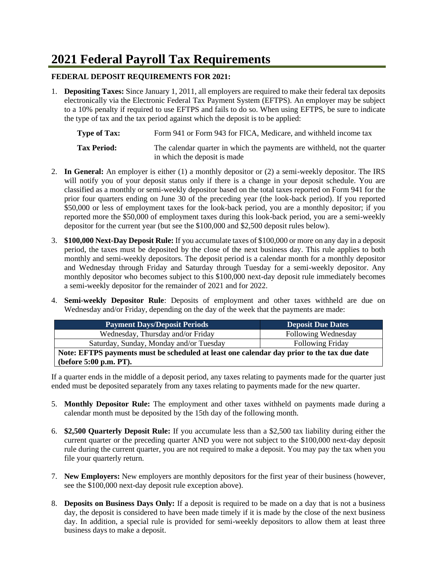## **2021 Federal Payroll Tax Requirements**

#### **FEDERAL DEPOSIT REQUIREMENTS FOR 2021:**

1. **Depositing Taxes:** Since January 1, 2011, all employers are required to make their federal tax deposits electronically via the Electronic Federal Tax Payment System (EFTPS). An employer may be subject to a 10% penalty if required to use EFTPS and fails to do so. When using EFTPS, be sure to indicate the type of tax and the tax period against which the deposit is to be applied:

**Type of Tax:** Form 941 or Form 943 for FICA, Medicare, and withheld income tax **Tax Period:** The calendar quarter in which the payments are withheld, not the quarter in which the deposit is made

- 2. **In General:** An employer is either (1) a monthly depositor or (2) a semi-weekly depositor. The IRS will notify you of your deposit status only if there is a change in your deposit schedule. You are classified as a monthly or semi-weekly depositor based on the total taxes reported on Form 941 for the prior four quarters ending on June 30 of the preceding year (the look-back period). If you reported \$50,000 or less of employment taxes for the look-back period, you are a monthly depositor; if you reported more the \$50,000 of employment taxes during this look-back period, you are a semi-weekly depositor for the current year (but see the \$100,000 and \$2,500 deposit rules below).
- 3. **\$100,000 Next-Day Deposit Rule:** If you accumulate taxes of \$100,000 or more on any day in a deposit period, the taxes must be deposited by the close of the next business day. This rule applies to both monthly and semi-weekly depositors. The deposit period is a calendar month for a monthly depositor and Wednesday through Friday and Saturday through Tuesday for a semi-weekly depositor. Any monthly depositor who becomes subject to this \$100,000 next-day deposit rule immediately becomes a semi-weekly depositor for the remainder of 2021 and for 2022.
- 4. **Semi-weekly Depositor Rule**: Deposits of employment and other taxes withheld are due on Wednesday and/or Friday, depending on the day of the week that the payments are made:

| <b>Payment Days/Deposit Periods</b>                                                        | <b>Deposit Due Dates</b> |  |
|--------------------------------------------------------------------------------------------|--------------------------|--|
| Wednesday, Thursday and/or Friday                                                          | Following Wednesday      |  |
| Saturday, Sunday, Monday and/or Tuesday                                                    | <b>Following Friday</b>  |  |
| Note: EFTPS payments must be scheduled at least one calendar day prior to the tax due date |                          |  |
| (before 5:00 p.m. PT).                                                                     |                          |  |

If a quarter ends in the middle of a deposit period, any taxes relating to payments made for the quarter just ended must be deposited separately from any taxes relating to payments made for the new quarter.

- 5. **Monthly Depositor Rule:** The employment and other taxes withheld on payments made during a calendar month must be deposited by the 15th day of the following month.
- 6. **\$2,500 Quarterly Deposit Rule:** If you accumulate less than a \$2,500 tax liability during either the current quarter or the preceding quarter AND you were not subject to the \$100,000 next-day deposit rule during the current quarter, you are not required to make a deposit. You may pay the tax when you file your quarterly return.
- 7. **New Employers:** New employers are monthly depositors for the first year of their business (however, see the \$100,000 next-day deposit rule exception above).
- 8. **Deposits on Business Days Only:** If a deposit is required to be made on a day that is not a business day, the deposit is considered to have been made timely if it is made by the close of the next business day. In addition, a special rule is provided for semi-weekly depositors to allow them at least three business days to make a deposit.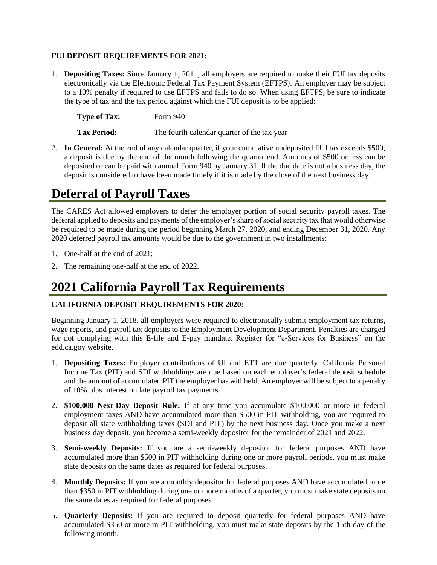#### **FUI DEPOSIT REQUIREMENTS FOR 2021:**

1. **Depositing Taxes:** Since January 1, 2011, all employers are required to make their FUI tax deposits electronically via the Electronic Federal Tax Payment System (EFTPS). An employer may be subject to a 10% penalty if required to use EFTPS and fails to do so. When using EFTPS, be sure to indicate the type of tax and the tax period against which the FUI deposit is to be applied:

| <b>Type of Tax:</b> | Form 940                                    |
|---------------------|---------------------------------------------|
| <b>Tax Period:</b>  | The fourth calendar quarter of the tax year |

2. **In General:** At the end of any calendar quarter, if your cumulative undeposited FUI tax exceeds \$500, a deposit is due by the end of the month following the quarter end. Amounts of \$500 or less can be deposited or can be paid with annual Form 940 by January 31. If the due date is not a business day, the deposit is considered to have been made timely if it is made by the close of the next business day.

### **Deferral of Payroll Taxes**

The CARES Act allowed employers to defer the employer portion of social security payroll taxes. The deferral applied to deposits and payments of the employer's share of social security tax that would otherwise be required to be made during the period beginning March 27, 2020, and ending December 31, 2020. Any 2020 deferred payroll tax amounts would be due to the government in two installments:

- 1. One-half at the end of 2021;
- 2. The remaining one-half at the end of 2022.

## **2021 California Payroll Tax Requirements**

#### **CALIFORNIA DEPOSIT REQUIREMENTS FOR 2020:**

Beginning January 1, 2018, all employers were required to electronically submit employment tax returns, wage reports, and payroll tax deposits to the Employment Development Department. Penalties are charged for not complying with this E-file and E-pay mandate. Register for "e-Services for Business" on the edd.ca.gov website.

- 1. **Depositing Taxes:** Employer contributions of UI and ETT are due quarterly. California Personal Income Tax (PIT) and SDI withholdings are due based on each employer's federal deposit schedule and the amount of accumulated PIT the employer has withheld. An employer will be subject to a penalty of 10% plus interest on late payroll tax payments.
- 2. **\$100,000 Next-Day Deposit Rule:** If at any time you accumulate \$100,000 or more in federal employment taxes AND have accumulated more than \$500 in PIT withholding, you are required to deposit all state withholding taxes (SDI and PIT) by the next business day. Once you make a next business day deposit, you become a semi-weekly depositor for the remainder of 2021 and 2022.
- 3. **Semi-weekly Deposits:** If you are a semi-weekly depositor for federal purposes AND have accumulated more than \$500 in PIT withholding during one or more payroll periods, you must make state deposits on the same dates as required for federal purposes.
- 4. **Monthly Deposits:** If you are a monthly depositor for federal purposes AND have accumulated more than \$350 in PIT withholding during one or more months of a quarter, you must make state deposits on the same dates as required for federal purposes.
- 5. **Quarterly Deposits:** If you are required to deposit quarterly for federal purposes AND have accumulated \$350 or more in PIT withholding, you must make state deposits by the 15th day of the following month.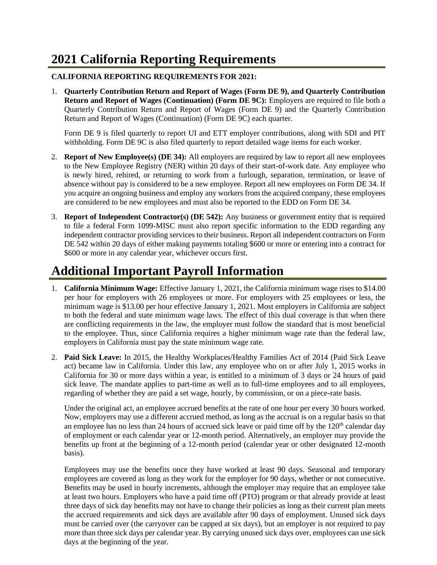# **2021 California Reporting Requirements**

#### **CALIFORNIA REPORTING REQUIREMENTS FOR 2021:**

1. **Quarterly Contribution Return and Report of Wages (Form DE 9), and Quarterly Contribution Return and Report of Wages (Continuation) (Form DE 9C):** Employers are required to file both a Quarterly Contribution Return and Report of Wages (Form DE 9) and the Quarterly Contribution Return and Report of Wages (Continuation) (Form DE 9C) each quarter.

Form DE 9 is filed quarterly to report UI and ETT employer contributions, along with SDI and PIT withholding. Form DE 9C is also filed quarterly to report detailed wage items for each worker.

- 2. **Report of New Employee(s) (DE 34):** All employers are required by law to report all new employees to the New Employee Registry (NER) within 20 days of their start-of-work date. Any employee who is newly hired, rehired, or returning to work from a furlough, separation, termination, or leave of absence without pay is considered to be a new employee. Report all new employees on Form DE 34. If you acquire an ongoing business and employ any workers from the acquired company, these employees are considered to be new employees and must also be reported to the EDD on Form DE 34.
- 3. **Report of Independent Contractor(s) (DE 542):** Any business or government entity that is required to file a federal Form 1099-MISC must also report specific information to the EDD regarding any independent contractor providing services to their business. Report all independent contractors on Form DE 542 within 20 days of either making payments totaling \$600 or more or entering into a contract for \$600 or more in any calendar year, whichever occurs first.

# **Additional Important Payroll Information**

- 1. **California Minimum Wage:** Effective January 1, 2021, the California minimum wage rises to \$14.00 per hour for employers with 26 employees or more. For employers with 25 employees or less, the minimum wage is \$13.00 per hour effective January 1, 2021. Most employers in California are subject to both the federal and state minimum wage laws. The effect of this dual coverage is that when there are conflicting requirements in the law, the employer must follow the standard that is most beneficial to the employee. Thus, since California requires a higher minimum wage rate than the federal law, employers in California must pay the state minimum wage rate.
- 2. **Paid Sick Leave:** In 2015, the Healthy Workplaces/Healthy Families Act of 2014 (Paid Sick Leave act) became law in California. Under this law, any employee who on or after July 1, 2015 works in California for 30 or more days within a year, is entitled to a minimum of 3 days or 24 hours of paid sick leave. The mandate applies to part-time as well as to full-time employees and to all employees, regarding of whether they are paid a set wage, hourly, by commission, or on a piece-rate basis.

Under the original act, an employee accrued benefits at the rate of one hour per every 30 hours worked. Now, employers may use a different accrued method, as long as the accrual is on a regular basis so that an employee has no less than 24 hours of accrued sick leave or paid time off by the  $120<sup>th</sup>$  calendar day of employment or each calendar year or 12-month period. Alternatively, an employer may provide the benefits up front at the beginning of a 12-month period (calendar year or other designated 12-month basis).

Employees may use the benefits once they have worked at least 90 days. Seasonal and temporary employees are covered as long as they work for the employer for 90 days, whether or not consecutive. Benefits may be used in hourly increments, although the employer may require that an employee take at least two hours. Employers who have a paid time off (PTO) program or that already provide at least three days of sick day benefits may not have to change their policies as long as their current plan meets the accrued requirements and sick days are available after 90 days of employment. Unused sick days must be carried over (the carryover can be capped at six days), but an employer is not required to pay more than three sick days per calendar year. By carrying unused sick days over, employees can use sick days at the beginning of the year.